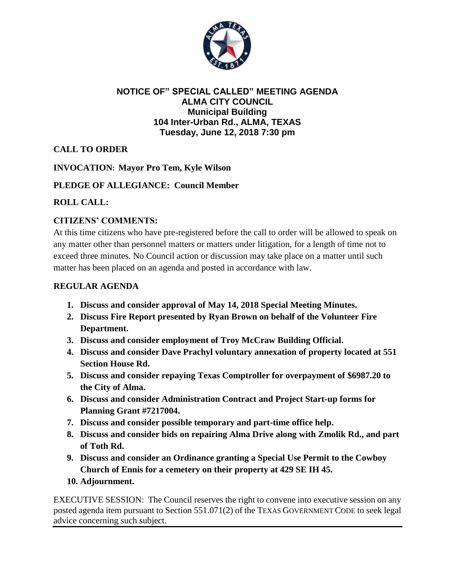

### **NOTICE OF" SPECIAL CALLED" MEETING AGENDA ALMA CITY COUNCIL Municipal Building 104 Inter-Urban Rd., ALMA, TEXAS Tuesday, June 12, 2018 7:30 pm**

# **CALL TO ORDER**

**INVOCATION: Mayor Pro Tem, Kyle Wilson**

## **PLEDGE OF ALLEGIANCE: Council Member**

#### **ROLL CALL:**

## **CITIZENS' COMMENTS:**

At this time citizens who have pre-registered before the call to order will be allowed to speak on any matter other than personnel matters or matters under litigation, for a length of time not to exceed three minutes. No Council action or discussion may take place on a matter until such matter has been placed on an agenda and posted in accordance with law.

#### **REGULAR AGENDA**

- **1. Discuss and consider approval of May 14, 2018 Special Meeting Minutes.**
- **2. Discuss Fire Report presented by Ryan Brown on behalf of the Volunteer Fire Department.**
- **3. Discuss and consider employment of Troy McCraw Building Official.**
- **4. Discuss and consider Dave Prachyl voluntary annexation of property located at 551 Section House Rd.**
- **5. Discuss and consider repaying Texas Comptroller for overpayment of \$6987.20 to the City of Alma.**
- **6. Discuss and consider Administration Contract and Project Start-up forms for Planning Grant #7217004.**
- **7. Discuss and consider possible temporary and part-time office help.**
- **8. Discuss and consider bids on repairing Alma Drive along with Zmolik Rd., and part of Toth Rd.**
- **9. Discuss and consider an Ordinance granting a Special Use Permit to the Cowboy Church of Ennis for a cemetery on their property at 429 SE IH 45.**
- **10. Adjournment.**

EXECUTIVE SESSION: The Council reserves the right to convene into executive session on any posted agenda item pursuant to Section 551.071(2) of the TEXAS GOVERNMENT CODE to seek legal advice concerning such subject.